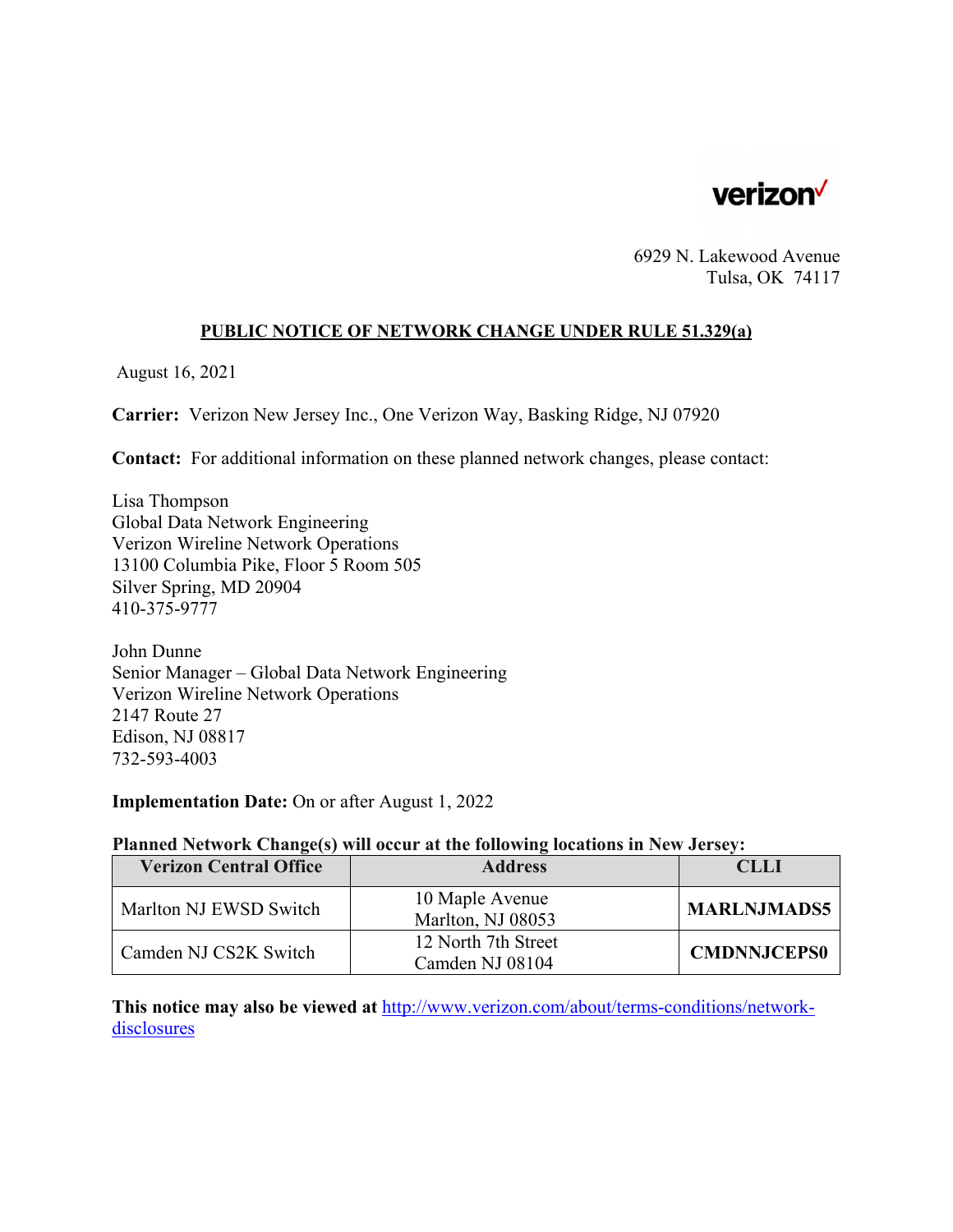

6929 N. Lakewood Avenue Tulsa, OK 74117

### **PUBLIC NOTICE OF NETWORK CHANGE UNDER RULE 51.329(a)**

August 16, 2021

**Carrier:** Verizon New Jersey Inc., One Verizon Way, Basking Ridge, NJ 07920

**Contact:** For additional information on these planned network changes, please contact:

Lisa Thompson Global Data Network Engineering Verizon Wireline Network Operations 13100 Columbia Pike, Floor 5 Room 505 Silver Spring, MD 20904 410-375-9777

John Dunne Senior Manager – Global Data Network Engineering Verizon Wireline Network Operations 2147 Route 27 Edison, NJ 08817 732-593-4003

**Implementation Date:** On or after August 1, 2022

### **Planned Network Change(s) will occur at the following locations in New Jersey:**

| <b>Verizon Central Office</b> | <b>Address</b>                         | CL LI              |
|-------------------------------|----------------------------------------|--------------------|
| Marlton NJ EWSD Switch        | 10 Maple Avenue<br>Marlton, NJ 08053   | <b>MARLNJMADS5</b> |
| Camden NJ CS2K Switch         | 12 North 7th Street<br>Camden NJ 08104 | <b>CMDNNJCEPS0</b> |

**This notice may also be viewed at** http://www.verizon.com/about/terms-conditions/networkdisclosures